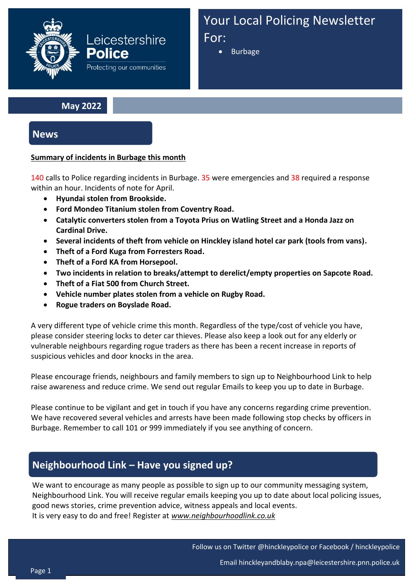

Your Local Policing Newsletter For:

• Burbage

### **May 2022**

**News**

#### **Summary of incidents in Burbage this month**

140 calls to Police regarding incidents in Burbage. 35 were emergencies and 38 required a response within an hour. Incidents of note for April.

- **Hyundai stolen from Brookside.**
- **Ford Mondeo Titanium stolen from Coventry Road.**
- **Catalytic converters stolen from a Toyota Prius on Watling Street and a Honda Jazz on Cardinal Drive.**
- **Several incidents of theft from vehicle on Hinckley island hotel car park (tools from vans).**
- **Theft of a Ford Kuga from Forresters Road.**
- **Theft of a Ford KA from Horsepool.**
- **Two incidents in relation to breaks/attempt to derelict/empty properties on Sapcote Road.**
- **Theft of a Fiat 500 from Church Street.**
- **Vehicle number plates stolen from a vehicle on Rugby Road.**
- **Rogue traders on Boyslade Road.**

A very different type of vehicle crime this month. Regardless of the type/cost of vehicle you have, please consider steering locks to deter car thieves. Please also keep a look out for any elderly or vulnerable neighbours regarding rogue traders as there has been a recent increase in reports of suspicious vehicles and door knocks in the area.

Please encourage friends, neighbours and family members to sign up to Neighbourhood Link to help raise awareness and reduce crime. We send out regular Emails to keep you up to date in Burbage.

Please continue to be vigilant and get in touch if you have any concerns regarding crime prevention. We have recovered several vehicles and arrests have been made following stop checks by officers in Burbage. Remember to call 101 or 999 immediately if you see anything of concern.

# **Neighbourhood Link – Have you signed up?**

We want to encourage as many people as possible to sign up to our community messaging system, Neighbourhood Link. You will receive regular emails keeping you up to date about local policing issues, good news stories, crime prevention advice, witness appeals and local events. It is very easy to do and free! Register at *www.neighbourhoodlink.co.uk*

Follow us on Twitter @hinckleypolice or Facebook / hinckleypolice

Email hinckleyandblaby.npa@leicestershire.pnn.police.uk